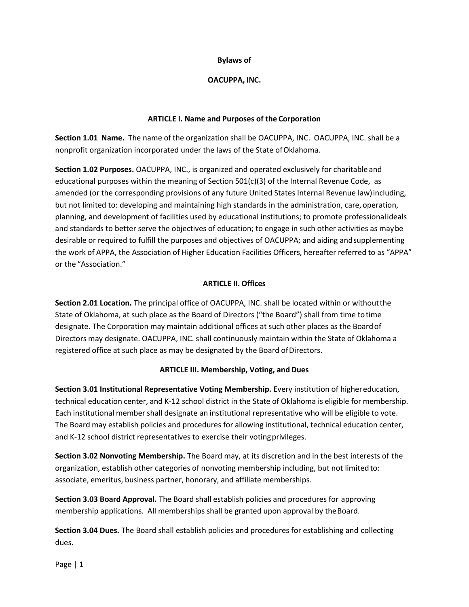### **Bylaws of**

### **OACUPPA, INC.**

#### **ARTICLE I. Name and Purposes of the Corporation**

**Section 1.01 Name.** The name of the organization shall be OACUPPA, INC. OACUPPA, INC. shall be a nonprofit organization incorporated under the laws of the State ofOklahoma.

**Section 1.02 Purposes.** OACUPPA, INC., is organized and operated exclusively for charitable and educational purposes within the meaning of Section 501(c)(3) of the Internal Revenue Code, as amended (or the corresponding provisions of any future United States Internal Revenue law)including, but not limited to: developing and maintaining high standards in the administration, care, operation, planning, and development of facilities used by educational institutions; to promote professionalideals and standards to better serve the objectives of education; to engage in such other activities as maybe desirable or required to fulfill the purposes and objectives of OACUPPA; and aiding andsupplementing the work of APPA, the Association of Higher Education Facilities Officers, hereafter referred to as "APPA" or the "Association."

### **ARTICLE II. Offices**

**Section 2.01 Location.** The principal office of OACUPPA, INC. shall be located within or withoutthe State of Oklahoma, at such place as the Board of Directors ("the Board") shall from time totime designate. The Corporation may maintain additional offices at such other places as the Boardof Directors may designate. OACUPPA, INC. shall continuously maintain within the State of Oklahoma a registered office at such place as may be designated by the Board ofDirectors.

#### **ARTICLE III. Membership, Voting, and Dues**

**Section 3.01 Institutional Representative Voting Membership.** Every institution of highereducation, technical education center, and K-12 school district in the State of Oklahoma is eligible for membership. Each institutional membershall designate an institutional representative who will be eligible to vote. The Board may establish policies and procedures for allowing institutional, technical education center, and K-12 school district representatives to exercise their votingprivileges.

**Section 3.02 Nonvoting Membership.** The Board may, at its discretion and in the best interests of the organization, establish other categories of nonvoting membership including, but not limited to: associate, emeritus, business partner, honorary, and affiliate memberships.

**Section 3.03 Board Approval.** The Board shall establish policies and procedures for approving membership applications. All memberships shall be granted upon approval by the Board.

**Section 3.04 Dues.** The Board shall establish policies and procedures for establishing and collecting dues.

Page | 1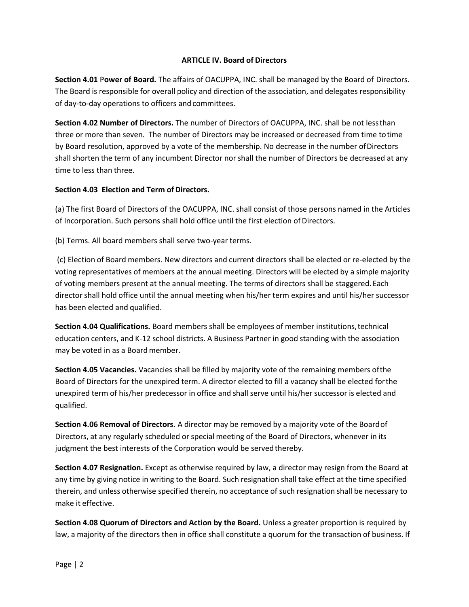### **ARTICLE IV. Board of Directors**

**Section 4.01** P**ower of Board.** The affairs of OACUPPA, INC. shall be managed by the Board of Directors. The Board is responsible for overall policy and direction of the association, and delegates responsibility of day-to-day operations to officers and committees.

**Section 4.02 Number of Directors.** The number of Directors of OACUPPA, INC. shall be not lessthan three or more than seven. The number of Directors may be increased or decreased from time totime by Board resolution, approved by a vote of the membership. No decrease in the number ofDirectors shall shorten the term of any incumbent Director norshall the number of Directors be decreased at any time to less than three.

### **Section 4.03 Election and Term of Directors.**

(a) The first Board of Directors of the OACUPPA, INC. shall consist of those persons named in the Articles of Incorporation. Such persons shall hold office until the first election of Directors.

(b) Terms. All board members shall serve two-year terms.

(c) Election of Board members. New directors and current directors shall be elected or re-elected by the voting representatives of members at the annual meeting. Directors will be elected by a simple majority of voting members present at the annual meeting. The terms of directors shall be staggered.Each directorshall hold office until the annual meeting when his/her term expires and until his/her successor has been elected and qualified.

**Section 4.04 Qualifications.** Board members shall be employees of member institutions,technical education centers, and K-12 school districts. A Business Partner in good standing with the association may be voted in as a Board member.

**Section 4.05 Vacancies.** Vacancies shall be filled by majority vote of the remaining members ofthe Board of Directors for the unexpired term. A director elected to fill a vacancy shall be elected forthe unexpired term of his/her predecessor in office and shall serve until his/her successor is elected and qualified.

**Section 4.06 Removal of Directors.** A director may be removed by a majority vote of the Boardof Directors, at any regularly scheduled or special meeting of the Board of Directors, whenever in its judgment the best interests of the Corporation would be servedthereby.

**Section 4.07 Resignation.** Except as otherwise required by law, a director may resign from the Board at any time by giving notice in writing to the Board. Such resignation shall take effect at the time specified therein, and unless otherwise specified therein, no acceptance of such resignation shall be necessary to make it effective.

**Section 4.08 Quorum of Directors and Action by the Board.** Unless a greater proportion is required by law, a majority of the directors then in office shall constitute a quorum for the transaction of business. If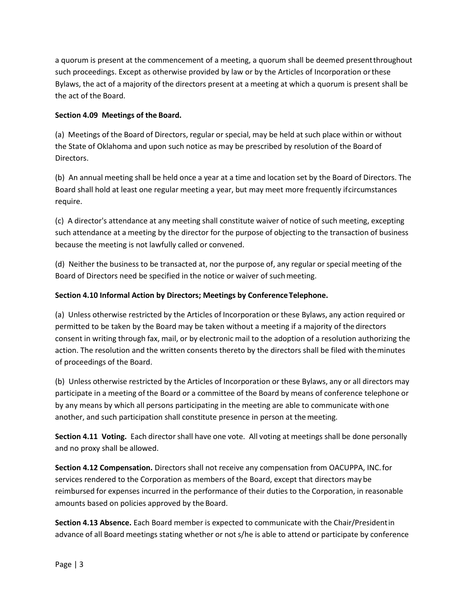a quorum is present at the commencement of a meeting, a quorum shall be deemed presentthroughout such proceedings. Except as otherwise provided by law or by the Articles of Incorporation orthese Bylaws, the act of a majority of the directors present at a meeting at which a quorum is present shall be the act of the Board.

# **Section 4.09 Meetings of the Board.**

(a) Meetings of the Board of Directors, regular or special, may be held at such place within or without the State of Oklahoma and upon such notice as may be prescribed by resolution of the Board of Directors.

(b) An annual meeting shall be held once a year at a time and location set by the Board of Directors. The Board shall hold at least one regular meeting a year, but may meet more frequently ifcircumstances require.

(c) A director's attendance at any meeting shall constitute waiver of notice of such meeting, excepting such attendance at a meeting by the director for the purpose of objecting to the transaction of business because the meeting is not lawfully called or convened.

(d) Neither the business to be transacted at, nor the purpose of, any regular or special meeting of the Board of Directors need be specified in the notice or waiver of suchmeeting.

# **Section 4.10 Informal Action by Directors; Meetings by ConferenceTelephone.**

(a) Unless otherwise restricted by the Articles of Incorporation or these Bylaws, any action required or permitted to be taken by the Board may be taken without a meeting if a majority of the directors consent in writing through fax, mail, or by electronic mail to the adoption of a resolution authorizing the action. The resolution and the written consents thereto by the directors shall be filed with theminutes of proceedings of the Board.

(b) Unless otherwise restricted by the Articles of Incorporation or these Bylaws, any or all directors may participate in a meeting of the Board or a committee of the Board by means of conference telephone or by any means by which all persons participating in the meeting are able to communicate withone another, and such participation shall constitute presence in person at the meeting.

**Section 4.11 Voting.** Each director shall have one vote. All voting at meetings shall be done personally and no proxy shall be allowed.

**Section 4.12 Compensation.** Directors shall not receive any compensation from OACUPPA, INC.for services rendered to the Corporation as members of the Board, except that directors may be reimbursed for expenses incurred in the performance of their duties to the Corporation, in reasonable amounts based on policies approved by the Board.

**Section 4.13 Absence.** Each Board member is expected to communicate with the Chair/Presidentin advance of all Board meetings stating whether or not s/he is able to attend or participate by conference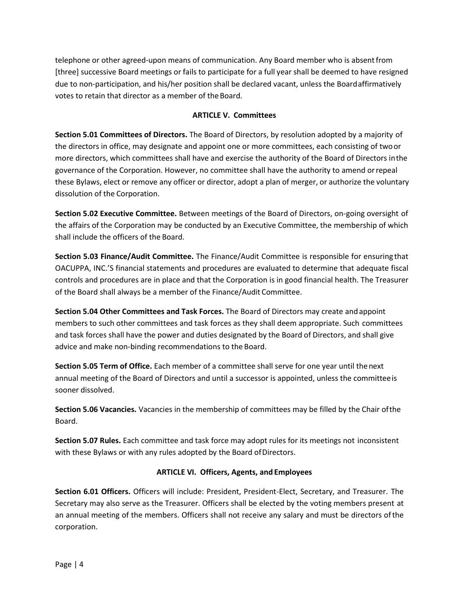telephone or other agreed-upon means of communication. Any Board member who is absentfrom [three] successive Board meetings or fails to participate for a full year shall be deemed to have resigned due to non-participation, and his/her position shall be declared vacant, unless the Boardaffirmatively votes to retain that director as a member of theBoard.

## **ARTICLE V. Committees**

**Section 5.01 Committees of Directors.** The Board of Directors, by resolution adopted by a majority of the directors in office, may designate and appoint one or more committees, each consisting of twoor more directors, which committees shall have and exercise the authority of the Board of Directors inthe governance of the Corporation. However, no committee shall have the authority to amend orrepeal these Bylaws, elect or remove any officer or director, adopt a plan of merger, or authorize the voluntary dissolution of the Corporation.

**Section 5.02 Executive Committee.** Between meetings of the Board of Directors, on-going oversight of the affairs of the Corporation may be conducted by an Executive Committee, the membership of which shall include the officers of the Board.

**Section 5.03 Finance/Audit Committee.** The Finance/Audit Committee is responsible for ensuring that OACUPPA, INC.'S financial statements and procedures are evaluated to determine that adequate fiscal controls and procedures are in place and that the Corporation is in good financial health. The Treasurer of the Board shall always be a member of the Finance/Audit Committee.

**Section 5.04 Other Committees and Task Forces.** The Board of Directors may create andappoint members to such other committees and task forces as they shall deem appropriate. Such committees and task forces shall have the power and duties designated by the Board of Directors, and shall give advice and make non-binding recommendations to the Board.

**Section 5.05 Term of Office.** Each member of a committee shall serve for one year until thenext annual meeting of the Board of Directors and until a successor is appointed, unless the committeeis sooner dissolved.

**Section 5.06 Vacancies.** Vacancies in the membership of committees may be filled by the Chair ofthe Board.

**Section 5.07 Rules.** Each committee and task force may adopt rules for its meetings not inconsistent with these Bylaws or with any rules adopted by the Board of Directors.

# **ARTICLE VI. Officers, Agents, and Employees**

**Section 6.01 Officers.** Officers will include: President, President-Elect, Secretary, and Treasurer. The Secretary may also serve as the Treasurer. Officers shall be elected by the voting members present at an annual meeting of the members. Officers shall not receive any salary and must be directors ofthe corporation.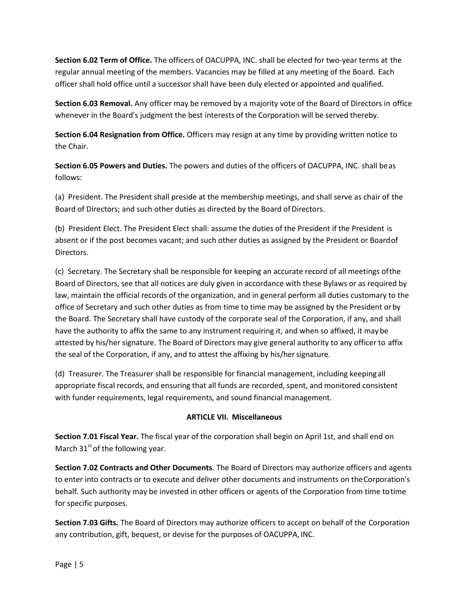**Section 6.02 Term of Office.** The officers of OACUPPA, INC. shall be elected for two-year terms at the regular annual meeting of the members. Vacancies may be filled at any meeting of the Board. Each officer shall hold office until a successor shall have been duly elected or appointed and qualified.

**Section 6.03 Removal.** Any officer may be removed by a majority vote of the Board of Directors in office whenever in the Board's judgment the best interests of the Corporation will be served thereby.

**Section 6.04 Resignation from Office.** Officers may resign at any time by providing written notice to the Chair.

**Section 6.05 Powers and Duties.** The powers and duties of the officers of OACUPPA, INC. shall beas follows:

(a) President. The President shall preside at the membership meetings, and shall serve as chair of the Board of Directors; and such other duties as directed by the Board of Directors.

(b) President Elect. The President Elect shall: assume the duties of the President if the President is absent or if the post becomes vacant; and such other duties as assigned by the President or Boardof Directors.

(c) Secretary. The Secretary shall be responsible for keeping an accurate record of all meetings ofthe Board of Directors, see that all notices are duly given in accordance with these Bylaws or as required by law, maintain the official records of the organization, and in general perform all duties customary to the office of Secretary and such other duties as from time to time may be assigned by the President orby the Board. The Secretary shall have custody of the corporate seal of the Corporation, if any, and shall have the authority to affix the same to any instrument requiring it, and when so affixed, it maybe attested by his/her signature. The Board of Directors may give general authority to any officer to affix the seal of the Corporation, if any, and to attest the affixing by his/hersignature.

(d) Treasurer. The Treasurer shall be responsible for financial management, including keepingall appropriate fiscal records, and ensuring that all funds are recorded, spent, and monitored consistent with funder requirements, legal requirements, and sound financial management.

# **ARTICLE VII. Miscellaneous**

**Section 7.01 Fiscal Year.** The fiscal year of the corporation shall begin on April 1st, and shall end on March  $31<sup>st</sup>$  of the following year.

**Section 7.02 Contracts and Other Documents**. The Board of Directors may authorize officers and agents to enter into contracts or to execute and deliver other documents and instruments on theCorporation's behalf. Such authority may be invested in other officers or agents of the Corporation from time totime for specific purposes.

**Section 7.03 Gifts.** The Board of Directors may authorize officers to accept on behalf of the Corporation any contribution, gift, bequest, or devise for the purposes of OACUPPA,INC.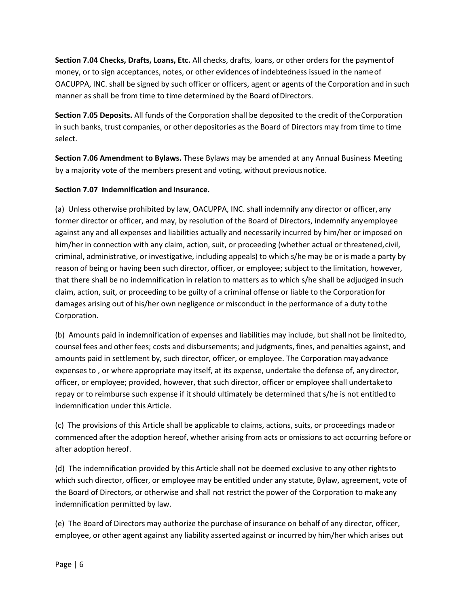**Section 7.04 Checks, Drafts, Loans, Etc.** All checks, drafts, loans, or other orders for the paymentof money, or to sign acceptances, notes, or other evidences of indebtedness issued in the nameof OACUPPA, INC. shall be signed by such officer or officers, agent or agents of the Corporation and in such manner as shall be from time to time determined by the Board of Directors.

**Section 7.05 Deposits.** All funds of the Corporation shall be deposited to the credit of theCorporation in such banks, trust companies, or other depositories as the Board of Directors may from time to time select.

**Section 7.06 Amendment to Bylaws.** These Bylaws may be amended at any Annual Business Meeting by a majority vote of the members present and voting, without previousnotice.

# **Section 7.07 Indemnification and Insurance.**

(a) Unless otherwise prohibited by law, OACUPPA, INC. shall indemnify any director or officer, any former director or officer, and may, by resolution of the Board of Directors, indemnify anyemployee against any and all expenses and liabilities actually and necessarily incurred by him/her or imposed on him/her in connection with any claim, action, suit, or proceeding (whether actual or threatened,civil, criminal, administrative, or investigative, including appeals) to which s/he may be or is made a party by reason of being or having been such director, officer, or employee; subject to the limitation, however, that there shall be no indemnification in relation to matters as to which s/he shall be adjudged insuch claim, action, suit, or proceeding to be guilty of a criminal offense or liable to the Corporationfor damages arising out of his/her own negligence or misconduct in the performance of a duty tothe Corporation.

(b) Amounts paid in indemnification of expenses and liabilities may include, but shall not be limitedto, counsel fees and other fees; costs and disbursements; and judgments, fines, and penalties against, and amounts paid in settlement by, such director, officer, or employee. The Corporation may advance expenses to , or where appropriate may itself, at its expense, undertake the defense of, anydirector, officer, or employee; provided, however, that such director, officer or employee shall undertaketo repay or to reimburse such expense if it should ultimately be determined that s/he is not entitledto indemnification under this Article.

(c) The provisions of this Article shall be applicable to claims, actions, suits, or proceedings madeor commenced after the adoption hereof, whether arising from acts or omissions to act occurring before or after adoption hereof.

(d) The indemnification provided by this Article shall not be deemed exclusive to any other rightsto which such director, officer, or employee may be entitled under any statute, Bylaw, agreement, vote of the Board of Directors, or otherwise and shall not restrict the power of the Corporation to make any indemnification permitted by law.

(e) The Board of Directors may authorize the purchase of insurance on behalf of any director, officer, employee, or other agent against any liability asserted against or incurred by him/her which arises out